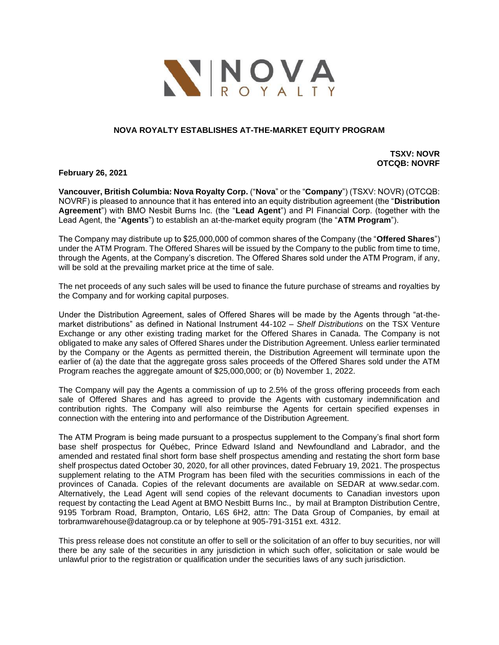

# **NOVA ROYALTY ESTABLISHES AT-THE-MARKET EQUITY PROGRAM**

**TSXV: NOVR OTCQB: NOVRF**

**February 26, 2021**

**Vancouver, British Columbia: Nova Royalty Corp.** ("**Nova**" or the "**Company**") (TSXV: NOVR) (OTCQB: NOVRF) is pleased to announce that it has entered into an equity distribution agreement (the "**Distribution Agreement**") with BMO Nesbit Burns Inc. (the "**Lead Agent**") and PI Financial Corp. (together with the Lead Agent, the "**Agents**") to establish an at-the-market equity program (the "**ATM Program**").

The Company may distribute up to \$25,000,000 of common shares of the Company (the "**Offered Shares**") under the ATM Program. The Offered Shares will be issued by the Company to the public from time to time, through the Agents, at the Company's discretion. The Offered Shares sold under the ATM Program, if any, will be sold at the prevailing market price at the time of sale.

The net proceeds of any such sales will be used to finance the future purchase of streams and royalties by the Company and for working capital purposes.

Under the Distribution Agreement, sales of Offered Shares will be made by the Agents through "at-themarket distributions" as defined in National Instrument 44-102 – *Shelf Distributions* on the TSX Venture Exchange or any other existing trading market for the Offered Shares in Canada. The Company is not obligated to make any sales of Offered Shares under the Distribution Agreement. Unless earlier terminated by the Company or the Agents as permitted therein, the Distribution Agreement will terminate upon the earlier of (a) the date that the aggregate gross sales proceeds of the Offered Shares sold under the ATM Program reaches the aggregate amount of \$25,000,000; or (b) November 1, 2022.

The Company will pay the Agents a commission of up to 2.5% of the gross offering proceeds from each sale of Offered Shares and has agreed to provide the Agents with customary indemnification and contribution rights. The Company will also reimburse the Agents for certain specified expenses in connection with the entering into and performance of the Distribution Agreement.

The ATM Program is being made pursuant to a prospectus supplement to the Company's final short form base shelf prospectus for Québec, Prince Edward Island and Newfoundland and Labrador, and the amended and restated final short form base shelf prospectus amending and restating the short form base shelf prospectus dated October 30, 2020, for all other provinces, dated February 19, 2021. The prospectus supplement relating to the ATM Program has been filed with the securities commissions in each of the provinces of Canada. Copies of the relevant documents are available on SEDAR at www.sedar.com. Alternatively, the Lead Agent will send copies of the relevant documents to Canadian investors upon request by contacting the Lead Agent at BMO Nesbitt Burns Inc., by mail at Brampton Distribution Centre, 9195 Torbram Road, Brampton, Ontario, L6S 6H2, attn: The Data Group of Companies, by email at torbramwarehouse@datagroup.ca or by telephone at 905-791-3151 ext. 4312.

This press release does not constitute an offer to sell or the solicitation of an offer to buy securities, nor will there be any sale of the securities in any jurisdiction in which such offer, solicitation or sale would be unlawful prior to the registration or qualification under the securities laws of any such jurisdiction.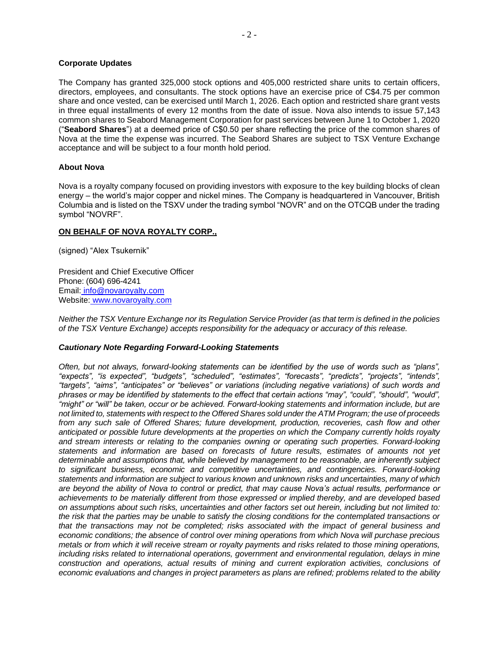#### **Corporate Updates**

The Company has granted 325,000 stock options and 405,000 restricted share units to certain officers, directors, employees, and consultants. The stock options have an exercise price of C\$4.75 per common share and once vested, can be exercised until March 1, 2026. Each option and restricted share grant vests in three equal installments of every 12 months from the date of issue. Nova also intends to issue 57,143 common shares to Seabord Management Corporation for past services between June 1 to October 1, 2020 ("**Seabord Shares**") at a deemed price of C\$0.50 per share reflecting the price of the common shares of Nova at the time the expense was incurred. The Seabord Shares are subject to TSX Venture Exchange acceptance and will be subject to a four month hold period.

## **About Nova**

Nova is a royalty company focused on providing investors with exposure to the key building blocks of clean energy – the world's major copper and nickel mines. The Company is headquartered in Vancouver, British Columbia and is listed on the TSXV under the trading symbol "NOVR" and on the OTCQB under the trading symbol "NOVRF".

## **ON BEHALF OF NOVA ROYALTY CORP.,**

(signed) "Alex Tsukernik"

President and Chief Executive Officer Phone: (604) 696-4241 Email: [info@novaroyalty.com](mailto:info@novaroyalty.com) Website: [www.novaroyalty.com](http://www.novaroyalty.com/)

*Neither the TSX Venture Exchange nor its Regulation Service Provider (as that term is defined in the policies of the TSX Venture Exchange) accepts responsibility for the adequacy or accuracy of this release.*

#### *Cautionary Note Regarding Forward-Looking Statements*

*Often, but not always, forward-looking statements can be identified by the use of words such as "plans", "expects", "is expected", "budgets", "scheduled", "estimates", "forecasts", "predicts", "projects", "intends", "targets", "aims", "anticipates" or "believes" or variations (including negative variations) of such words and*  phrases or may be identified by statements to the effect that certain actions "may", "could", "should", "would", *"might" or "will" be taken, occur or be achieved. Forward-looking statements and information include, but are not limited to, statements with respect to the Offered Shares sold under the ATM Program; the use of proceeds from any such sale of Offered Shares; future development, production, recoveries, cash flow and other anticipated or possible future developments at the properties on which the Company currently holds royalty and stream interests or relating to the companies owning or operating such properties. Forward-looking statements and information are based on forecasts of future results, estimates of amounts not yet determinable and assumptions that, while believed by management to be reasonable, are inherently subject to significant business, economic and competitive uncertainties, and contingencies. Forward-looking statements and information are subject to various known and unknown risks and uncertainties, many of which are beyond the ability of Nova to control or predict, that may cause Nova's actual results, performance or achievements to be materially different from those expressed or implied thereby, and are developed based on assumptions about such risks, uncertainties and other factors set out herein, including but not limited to: the risk that the parties may be unable to satisfy the closing conditions for the contemplated transactions or that the transactions may not be completed; risks associated with the impact of general business and economic conditions; the absence of control over mining operations from which Nova will purchase precious metals or from which it will receive stream or royalty payments and risks related to those mining operations, including risks related to international operations, government and environmental regulation, delays in mine construction and operations, actual results of mining and current exploration activities, conclusions of economic evaluations and changes in project parameters as plans are refined; problems related to the ability*